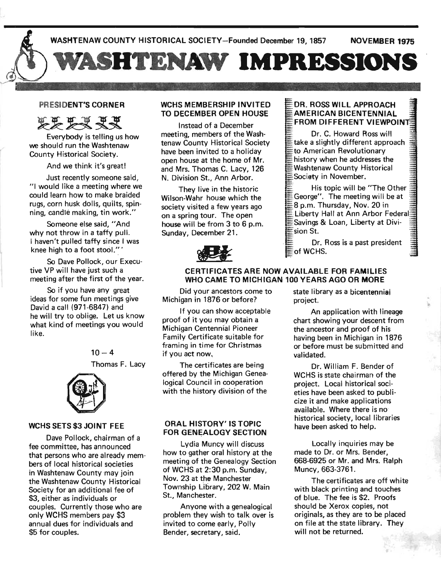

#### PRESIDENT'S CORNER

**FF FR RR** 

Everybody is telling us how we should run the Washtenaw County Historical Society.

And we think it's great!

Just recently someone said, "1 would like a meeting where we could learn how to make braided rugs, corn husk dolls, quilts, spinning, candle making, tin work."

Someone else said, "And why not throw in a taffy pull. I haven't pulled taffy since I was knee high to a foot stool."'

So Dave Pollock, our Executive VP will have just such a meeting after the first of the year.

So if you have any great ideas for some fun meetings give David a call (971-6847) and he will try to oblige. Let us know what kind of meetings you would like.



#### WCHS SETS \$3 JOINT FEE

Dave Pollock, chairman of a fee committee, has announced that persons who are already members of local historical societies in Washtenaw County may join the Washtenaw County Historical Society for an additional fee of \$3, either as individuals or couples. Currently those who are only WCHS members pay \$3 annual dues for individuals and \$5 for couples.

#### WCHS MEMBERSHIP INVITED TO DECEMBER OPEN HOUSE

Instead of a December meeting, members of the Washtenaw County Historical Society . have been invited to a holiday open house at the home of Mr. and Mrs. Thomas C. Lacy, 126 N. Division St., Ann Arbor.

They live in the historic Wilson-Wahr house which the society visited a few years ago on a spring tour. The open house will be from 3 to 6 p.m. Sunday, December 21.



#### DR. ROSS WILL APPROACH - AMERICAN BICENTENNIAL FROM DIFFERENT VIEWPOINT

Dr. C. Howard Ross will  $\bar{\bar{\varepsilon}}$ take a slightly different approach to American Revolutionary history when he addresses the Washtenaw County Historical =Society in November.

His topic will be "The Other George". The meeting will be at 8 p.m. Thursday, Nov. 20 in Liberty Hall at Ann Arbor Federal  $\mathsf{\mathsf{\Xi}}$  Savings & Loan, Liberty at Division St.

Dr. Ross is a past president  $\equiv$ of WCHS.

#### CERTIFICATES ARE NOW AVAILABLE FOR FAMILIES WHO CAME TO MICHIGAN 100 YEARS AGO OR MORE

Did your ancestors come to Michigan in 1876 or before?

If you can show acceptable proof of it you may obtain a Michigan Centennial Pioneer Family Certificate suitable for framing in time for Christmas if you act now,

The certificates are being offered by the Michigan Genealogical Council in cooperation with the history division of the

#### ORAL HISTORY' IS TOPIC FOR GENEALOGY SECTION

Lydia Muncy will discuss how to gather oral history at the meeting of the Genealogy Section of WCHS at 2:30 p.m. Sunday, Nov. 23 at the Manchester Township Library, 202 W. Main St., Manchester.

Anyone with a genealogical problem they wish to talk over is invited to come early, Polly Bender, secretary, said.

state library as a bicentennial project.

An application with lineage chart showing your descent from the ancestor and proof of his having been in Michigan in 1876 or before must be submitted and validated.

Dr. William F. Bender of WCHS is state chairman of the project. Local historical societies have been asked to publicize it and make applications available. Where there is no historical society, local libraries have been asked to help.

Locally inquiries may be made to Dr. or Mrs. Bender, 668-6925 or Mr. and Mrs. Ralph Muncy, 663-3761.

The certificates are off white with black printing and touches of blue. The fee is \$2. Proofs should be Xerox copies, not originals, as they are to be placed on file at the state library. They will not be returned.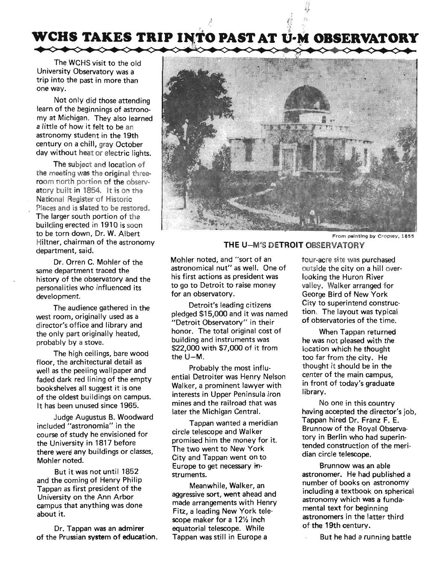# WCHS TAKES TRIP INTO PAST AT U-M OBSERVATORY

,  $\frac{\hbar}{\hbar}$  is the set of  $\frac{\hbar}{\hbar}$ . The contract of the contract of the contract of the contract of the contract of the contract of the contract of the contract of the contract of the contract of the contract of the contract of the contract of the contrac

The WCHS visit to the old University Observatory was a trip into the past in more than . one way.

Not only did those attending learn of the beginnings of astrono· my at Michigan. They also learned a little of how it felt to be an astronomy student in the 19th century on a chill, gray October day without heat or electric lights.

The subject and location of the meeting was the original threeroom north portion of the observatory built in 1854. It is on the National Register of Historic Places and is slated to be restored. The larger south portion of the building erected in 1910 is soon to be torn down, Dr. W. Albert Hiltner, chairman of the astronomy department, said.

Dr. Orren C. Mohler of the same department traced the history of the observatory and the personalities who influenced its development.

The audience gathered in the west room, originally used as a director's office and library and the only part originally heated, probably by a stove.

The high ceilings, bare wood floor, the architectural detail as well as the peeling wallpaper and faded dark red lining of the empty bookshelves all suggest it is one of the oldest buildings on campus. It has been unused since 1965.

Judge Augustus B. Woodward included "astronomia" in the course of study he envisioned for the University in 1817 before there were any buildings or classes, Mohler noted.

But it was not until 1852 and the coming of Henry Philip Tappan as first president of the University on the Ann Arbor campus that anything was done about it.

Dr. Tappan was an admirer of the Prussian system of education.



From painting by Cropsey, 1855

#### **THE** U-M'S **DETROIT OBSERVATORY**

Mohler noted, and "sort of an astronomical nut" as well. One of his first actions as president was to go to Detroit to raise money for an observatory.

Detroit's leading citizens pledged \$15,000 and it was named "Detroit Observatory" in their honor. The total original cost of building and instruments was \$22,000 with \$7,000 of it from the U-M.

Probably the most influential Detroiter was Henry Nelson Walker, a prominent lawyer with interests in Upper Peninsula iron mines and the railroad that was later the Michigan Central.

Tappan wanted a meridian circle telescope and Walker promised him the money for it. The two went to New York City and Tappan went on to Europe to get necessary in· struments.

Meanwhile, Walker, an aggressive sort, went ahead and made arrangements with Henry Fitz, a leading New York telescope maker for a 12% inch equatorial telescope. While Tappan was still in Europe a

tour-acre site was purchased outside the city on a hill overlooking the Huron River valley. Walker arranged for George Bird of New York City to superintend construction. The layout was typical of observatories of the time.

When Tappan returned he was not pleased with the location which he thought too far from the city. He thought it should be in the center of the main campus, in front of today's graduate library.

No one in this country having accepted the director's job, Tappan hired Dr. Franz F. E. Brunnow of the Royal Observatory in Berlin who had superintended construction of the meridian circle telescope.

Brunnow was an able astronomer. He had published a number of books on astronomy' including a textbook on spherical astronomy which was a fundamental text for beginning astronomers in the latter third of the 19th century.

But he had a running battle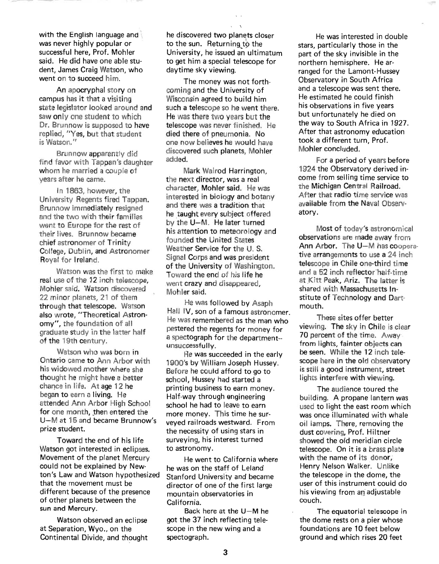with the English language and was never highly popular or successful here, Prof. Mohler said. He did have one able student, James Craig Watson, who went on to succeed him.

An apocryphal story on campus has it that a visiting state legislator looked around and saw only one student to which Dr. Brunnow is supposed to have replied, "Yes, but that student is Watson."

Brunnow apparently did find favor with Tappan's daughter whom he married a couple of years after he came.

In 1863, however, the University Regents fired Tappan. Brunnow immediately resigned and the two with their families went to Europe for the rest of their lives. Brunnow became chief astronomer of Trinity College, Dublin, and Astronomer Royal for Ireland.

Watson was the first to make real use of the 12 inch telescope, Mohler said. Watson discovered 22 minor planets, 21 of them through that telescope. Watson also wrote, "Theoretical Astronomy", the foundation of all graduate study in the latter half of the 19th century.

Watson who was born in Ontario came to Ann Arbor with his widowed mother where she thought he might have a better chance in life. At age 12 he began to earn a living. He attended Ann Arbor High School for one month, then entered the U-M at 15 and became Brunnow's prize student.

Toward the end of his life Watson got interested in eclipses. Movement of the planet Mercury could not be explained by Newton's Law and Watson hypothesized that the movement must be different because of the presence of other planets between the sun and Mercury.

Watson observed an eclipse at Separation, Wyo., on the Continental Divide, and thought he discovered two planets closer to the sun. Returning to the University, he issued an ultimatum to get him a special telescope for daytime sky viewing.

 $\mathcal{N}$ 

The money was not forthcoming and the University of Wisconsin agreed to build him such a telescope so he went there. He was there two years but the telescope was never finished. He died there of pneumonia. No one now believes he would have discovered such planets, Mohler added.

Mark Walrod Harrington, the next director, was a real character, Mohler said. He was interested in biology and botany and there was a tradition that he taught every subject offered by the U-M. He later turned his attention to meteorology and founded the United States Weather Service for the U. S. Signal Corps and was president of the University of Washington. Toward the end of his life he went crazy and disappeared, Mohler said.

He was followed by Asaph Hall IV, son of a famous astronomer. He was remembered as the man who pestered the regents for money for a spectograph for the department- unsuccessfully.

He was succeeded in the early 1900's by William Joseph Hussey. Before he could afford to go to school, Hussey had started a printing business to earn money. Half-way through engineering school he had to leave to earn more money. This time he surveyed railroads westward. From the necessity of using stars in surveying, his interest turned to astronomy.

He went to California where he was on the staff of Leland Stanford University and became director of one of the first large mountain observatories in California.

Back here at the  $U-M$  he got the 37 inch reflecting telescope in the new wing and a spectograph.

He was interested in double stars, particularly those in the part of the sky invisible in the northern hemisphere. He arranged for the Lamont-Hussey Observatory in South Africa and a telescope was sent there. He estimated he could finish his observations in five years but unfortunately he died on the way to South Africa in 1927. After that astronomy education took a different turn, Prof. Mohler concluded.

For a period of years before 1924 the Observatory derived income from selling time service to the Michigan Central Railroad. After that radio time service was available from the Naval Observatory.

Most of today's astronomical observations are made away from Ann Arbor. The U-M has cooperative arrangements to use a 24 inch telescope in Chile one-third time and a 52 inch reflector'half-time at Kitt Peak, Ariz. The latter is shared with Massachusetts Institute of Technology and Dartmouth.

These sites offer better viewing. The sky in Chile is clear 70 percent of the time. Away from lights, fainter objects can be seen. While the 12 inch telescope here in the old observatory is still a good instrument, street lights interfere with viewing.

The audience toured the building. A propane lantern was used to light the east room which was once illuminated with whale oil lamps. There, removing the dust covering, Prof. Hiltner showed the old meridian circle telescope. On it is a brass plate with the name of its donor; Henry Nelson Walker. Unlike the telescope in the dome, the user of this instrument could do his viewing from an adjustable couch.

The equatorial telescope in the dome rests on a pier whose foundations are 10 feet below ground and which rises 20 feet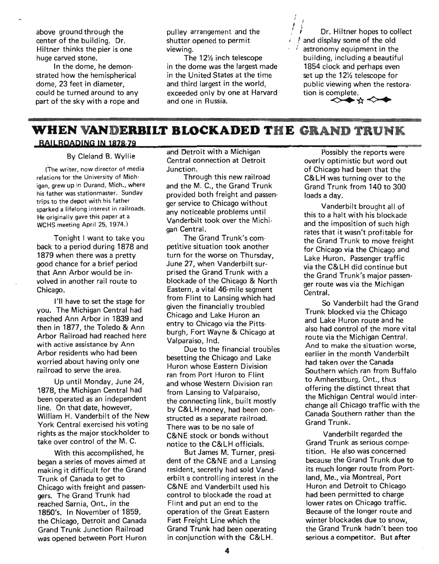above ground through the center of the building. Dr. Hiltner thinks the pier is one huge carved stone.

In the dome, he demonstrated how the hemispherical dome, 23 feet in diameter, could be turned around to any part of the sky with a rope and pulley arrangement and the shutter opened to permit viewing.

The 12% inch telescope in the dome was the largest made in the United States at the time and third largest in the world, exceeded only by one at Harvard and one in Russia.

 $\frac{1}{2}$ Dr. Hiltner hopes to collect and display some of the old astronomy equipment in the building, including a beautiful 1854 clock and perhaps even set up the 12% telescope for public viewing when the restoration is complete.

**<>+-\*<>+** 

## **WHEN VANDERBILT BLOCKADED THE GRAND TRUNK**

### **RAILROADING IN 1878-79**

By Cleland B. Wyllie

(The writer, now director of media relations for the University of Michigan, grew up in Durand, Mich., where his father was stationmaster. Sunday trips to the depot with his father sparked a lifelong interest in railroads. He originally gave this paper at a WCHS meeting April 25, 1974,)

Tonight I want to take you back to a period during 1878 and 1879 when there was a pretty good chance for a brief period that Ann Arbor would be involved in another rail route to Chicago.

I'll have to set the stage for you. The Michigan Central had reached Ann Arbor in 1839 and then in 1877, the Toledo & Ann Arbor Railroad had reached here with active assistance by Ann Arbor residents who had been worried about having only one railroad to serve the area.

Up until Monday, June 24, 1878, the Michigan Central had been operated as an independent line. On that date, however, William H. Vanderbilt of the New York Central exercised his voting rights as the major stockholder to take over control of the M. C.

With this accomplished, he began a series of moves aimed at making it difficult for the Grand Trunk of Canada to get to Chicago with freight and passengers. The Grand Trunk had reached Sarnia, Ont., in the 1850's. In November of 1859, the Chicago, Detroit and Canada Grand Trunk Junction Railroad was opened between Port Huron and Detroit with a Michigan Central connection at Detroit Junction.

Through this new railroad and the M. C., the Grand Trunk provided both freight and passenger service to Chicago without any noticeable problems until Vanderbilt took over the Michigan Central.

The Grand Trunk's competitive situation took another turn for the worse on Thursday, June 27, when Vanderbilt surprised the Grand Trunk with a blockade of the Chicago & North Eastern, a vital 46-mile segment from Flint to Lansing which had given the financially troubled Chicago and Lake Huron an entry to Chicago via the Pittsburgh, Fort Wayne & Chicago at Valparaiso, Ind.

Due to the financial troubles besetting the Chicago and Lake Huron whose Eastern Division ran from Port Huron to Flint and whose Western Division ran from Lansing to Valparaiso, the connecting link, built mostly by C&LH money, had been constructed as a separate railroad. There was to be no sale of C&NE stock or bonds without notice to the C&LH officials.

But James M. Turner, president of the C&NE and a Lansing resident, secretly had sold Vanderbilt a controlling interest in the C&NE and Vanderbilt used his· control to blockade the road at Flint and put an end to the operation of the Great Eastern Fast Freight Line which the Grand Trunk had been operating in conjunction with the C&LH.

Possibly the reports were overly optimistic but word out of Chicago had been that the C&LH was turning over to the Grand Trunk from 140 to 300 loads a day.

Vanderbilt brought all of this to a halt with his blockade and the imposition of such high rates that it wasn't profitable for the Grand Trunk to move freight for Chicago via the Chicago and Lake Huron. Passenger traffic via the C&LH did continue but the Grand Trunk's major passenger route was via the Michigan Central.

So Vanderbilt had the Grand Trunk blocked via the Chicago and Lake Huron route and he also had control of the more vital route via the Michigan Central. And to make the situation worse, earlier in the month Vanderbilt had taken over the Canada Southern which ran from Buffalo to Amherstburg, Ont., thus offering the distinct threat that the Michigan Central would interchange all Chicago traffic with the Canada Southern rather than the Grand Trunk.

Vanderbilt regarded the Grand Trunk as serious competition. He also was concerned because the Grand Trunk due to its much longer route from Portland, Me., via Montreal, Port Huron and Detroit to Chicago had been permitted to charge lower rates on Chicago traffic. Because of the longer route and winter blockades due to snow, the Grand Trunk hadn't been too serious a competitor. But after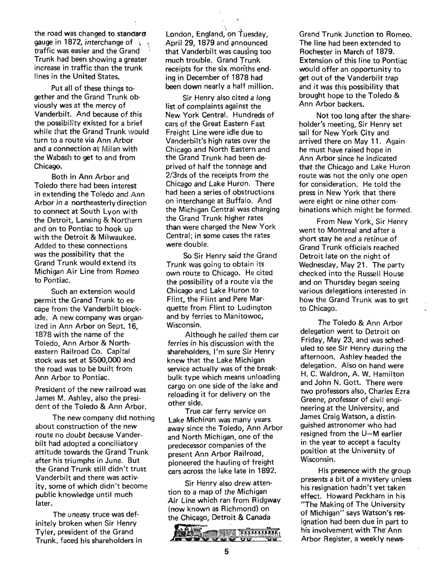the road was changed to standard. gauge in 1872, interchange of traffic was easier and the Grand Trunk had been showing a greater increase in traffic than the trunk lines in the United States.

Put all of these things together and the Grand Trunk obviously was at the mercy of Vanderbilt. And because of this the possibility existed for a brief while that the Grand Trunk would turn to a route via Ann Arbor and a connection at Milan with the Wabash to get to and from Chicago.

Both in Ann Arbor and Toledo there had been interest in extending the Toledo and Ann Arbor in a northeasterly direction to connect at South Lyon with the Detroit, Lansing & Northern and on to Pontiac to hook up with the Detroit & Milwaukee. Added to these connections was the possibility that the Grand Trunk would extend its Michigan Air Line from Romeo to Pontiac.

Such an extension would permit the Grand Trunk to escape from the Vanderbilt blockade. A new company was organized in Ann Arbor on Sept. 16, 1878 with the name of the Toledo, Ann Arbor & Northeastern Railroad Co. Capital stock was set at \$500,000 and the road was to be built from Ann Arbor to Pontiac.

President of the new railroad was James M. Ashley, also the president of the Toledo & Ann Arbor.

The new company did nothing about construction of the new route no doubt because Vanderbilt had adopted a conciliatory attitude towards the Grand Trunk . after his triumphs in June. But the Grand Trunk still didn't trust Vanderbilt and there was activity, some of which didn't become public knowledge until much later.

The uneasy truce was definitely broken when Sir Henry Tyler, president of the Grand Trunk faced his shareholders in London, England, on Tuesday,<br>April 29, 1879 and announced that Vanderbilt was causing too much trouble. Grand Trunk receipts for the six months ending in December of 187B had been down nearly a half million.

Sir Henry also cited a long list of complaints against the New York Central. Hundreds of cars of the Great Eastern Fast Freight Line were idle due to Vanderbilt's high rates over the Chicago and North Eastern and the Grand Trunk had been deprived of half the tonnage and 2/3rds of the receipts from the Chicago and Lake Huron. There had been a series of obstructions on interchange at Buffalo. And the Michigan Central was charging the Grand Trunk higher rates than were charged the New York Central; in some cases the rates were double.

So Sir Henry said the Grand Trunk was going to obtain its own route to Chicago. He cited the possibility of a route via the Chicago and Lake Huron to Flint, the Flint and Pere Marquette from Flint to Ludington and by ferries to Manitowoc, Wisconsin.

Although he called them car ferries in his discussion with the shareholders, I'm sure Sir Henry . knew that the Lake Michigan service actually was of the breakbulk type which means unloading cargo on one side of the lake and reloading it for delivery on the other side.

True car ferry service on Lake Michigan was many years away since the Toledo, Ann Arbor and North Michigan, one of the predecessor companies of the present Ann Arbor Railroad, pioneered the hauling of freight cars across the lake late in 1892.

Sir Henry also drew attention to a map of the Michigan Air Line which ran from Ridgway (now known as Richmond) on the Chicago, Detroit & Canada



Grand Trunk Junction to Romeo. The line had been extended to Rochester in March of 1879. Extension of this line to Pontiac would offer an opportunity to get out of the Vanderbilt trap and it was this possibility that brought hope to the Toledo & Ann Arbor backers.

Not too long after the shareholder's meeting, Sir Henry set sail for New York City and arrived there on May 11. Again he must have raised hope in Ann Arbor since he indicated that the Chicago and Lake Huron route was not the only one open for consideration. He told the press in New York that there were eight or nine other combinations which might be formed.

From New York, Sir Henry went to Montreal and after a short stay he and a retinue of Grand Trunk officials reached Detroit late on the night of Wednesday, May 21. The party checked into the Russell House and on Thursday began seeing various delegations interested in how the Grand Trunk was to get to Chicago.

The Toledo & Ann Arbor delegation went to Detroit on Friday, May 23, and was scheduled to see Sir Henry during the afternoon. Ashley headed the delegation. Also on hand were H. C. Waldron, A. W. Hamilton and John N. Gott. There were two professors also, Charles Ezra Greene, professor of civil engineering at the University, and James Craig Watson, a distinguished astronomer who had resigned from the U-M earlier in the year to accept a faculty position at the University of Wisconsin.

His presence with the group presents a bit of a mystery unless his resignation hadn't yet taken effect. Howard Peckham in his "The Making of The University of Michigan" says Watson's resignation had been due in part to his involvement with The' Ann Arbor Register, a weekly news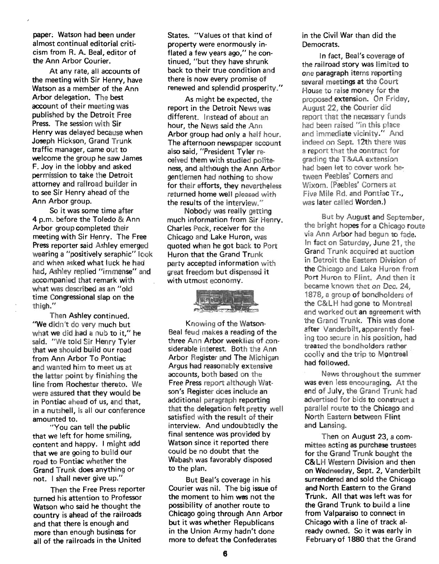paper; Watson had been under almost continual editorial criticism from R. A. Beal, editor of the Ann Arbor Courier.

At any rate, all accounts of the meeting with Sir Henry, have Watson as a member of the Ann Arbor delegation. The best account of their meeting was published by the Detroit Free Press. The session with Sir Henry was delayed because when Joseph Hickson, Grand Trunk traffic manager, came out to welcome the group he saw James F. Joy in the lobby and asked permission to take the Detroit attorney and railroad builder in to see Sir Henry ahead of the . Ann Arbor group.

So it was some time after 4 p.m. before the Toledo & Ann Arbor group completed their meeting with Sir Henry. The Free Press reporter said Ashley emerged wearing a "positively seraphic" look and when asked what luck he had had, Ashley replied "immense" and accompanied that remark with what was described as an "old time Congressional slap on the thigh."

Then Ashley continued. "We didn't do very much but what we did had a nub to it," he said. "We told Sir Henry Tyler that we should build our road from Ann Arbor To Pontiac and wanted him to meet us at the latter point by finishing the line from Rochester thereto. We were assured that they would be in Pontiac ahead of us, and that, in a nutshell, is all our conference amounted to.

"You can tell the public that we left for home smiling, content and happy. I might add that we are going to build our road to Pontiac whether the Grand Trunk does anything or not. I shall never give up."

Then the Free Press reporter turned his attention to Professor Watson who said he thought the country is ahead of the railroads and that there is enough and more than enough business for all of the railroads in the United

States. "Values ot that kind of property were enormously inflated a few years ago," he continued, "but they have shrunk back to their true condition and there is now every promise of renewed and splendid prosperity."

As might be expected, the report in the Detroit News was different. Instead of about an hour, the News said the Ann Arbor group had only a half hour. The afternoon newspaper account also said, "President Tyler received them with studied politeness, and although the Ann Arbor gentlemen had nothing to show for their efforts, they nevertheless returned home well pleased with

the results of the interview."<br>Nobody was really getting much information from Sir Henry. Charles Peck, receiver for the Chicago and Lake Huron, was quoted when he got back to Port Huron that the Grand Trunk party accepted information with great freedom but dispensed it with utmost economy.



Knowing of the Watson-Beal feud makes a reading of the three Ann Arbor weeklies of considerable interest. Both the Ann Arbor Register and The Michigan Argus had reasonably extensive accounts, both based on the Free Press report although Watson's Register does include an additional paragraph reporting that the delegation felt pretty well satisfied with the result of their interview. And undoubtedly the final sentence was provided by Watson since it reported there could be no doubt that the Wabash was favorably disposed to the plan.

But Beal's coverage in his Courier was nil. The big issue of the moment to him was not the possibility of another route to Chicago going through Ann Arbor but it was whether Republicans in the Union Army hadn't done more to defeat the Confederates

in the Civil War than did the Democrats.

In fact, Beal's coverage of the railroad story was limited to one paragraph items reporting several meetings at the Court House to raise money for the proposed extension. On Friday, August 22, the Courier did report that the necessary funds had been raised "in this place and immediate vicinity." And indeed on Sept. 12th there was a report that the contract for grading the T&AA extension had been let to cover work between Peebles' Corners and Wixom. (Peebles' Corners at Five Mile Rd. and Pontiac Tr., was later called Worden.)

But by August and September, the bright hopes for a Chicago route via Ann Arbor had begun to fade. In fact on Saturday, June 21, the Grand Trunk acquired at auction in Detroit the Eastern Division of the Chicago and Lake Huron from Port Huron to Flint. And then it became known that on Dec. 24, 1878, a group of bondholders of the C&LH had gone to Montreal and worked out an agreement with the Grand Trunk. This was done after Vanderbilt, apparently feeling too secure in his position, had treated the bondholders rather Coollv and the trip to Montreal ' had followed.

News throughout the summer was even less encouraging. At the end of July, the Grand Trunk had advertised for bids to construct a parallel route to the Chicago and North Eastern between Flint and Lansing.

Then on August 23, a committee acting as purchase trustees for the Grand Trunk bought the c&LH Western Division and then on Wednesday, Sept. 2, Vanderbilt surrendered and sold the Chicago and North Eastern to the Grand Trunk. All that was left was for the Grand Trunk to build a line from Valparaiso to connect in Chicago with a line of track already owned. So it was early in February of 1880 that the Grand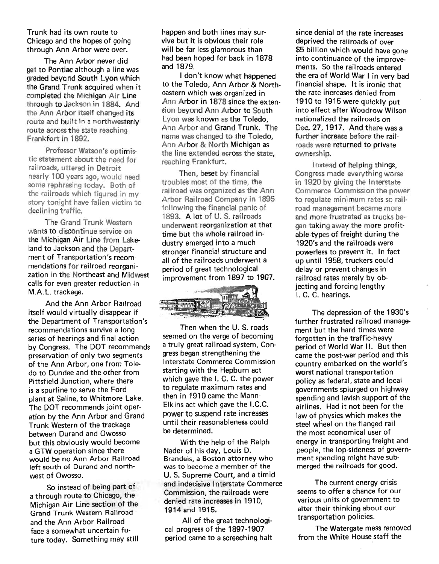Trunk had its own route to Chicago and the hopes of going through Ann Arbor were over.

The Ann Arbor never did get to Pontiac although a line was graded beyond South Lyon which the Grand Trunk acquired when it completed the Michigan Air Line through to Jackson in 1884. And the Ann Arbor itself changed its route and built in a northwesterly route across the state reaching Frankfort in 1892.

Professor Watson's optimistic statement about the need for railroads, uttered in Detroit nearly 100 years ago, would need some rephrasing today. Both of the railroads which figured in my story tonight have fallen victim to declining traffic.

The Grand Trunk Western wants to discontinue service on the Michigan Air Line from Lakeland to Jackson and the Department of Transportation's recommendations for railroad reorganization in the Northeast and Midwest calls for even greater reduction in M.A. L. trackage.

And the Ann Arbor Railroad itself would virtually disappear if the Department of Transportation's recommendations survive a long series of hearings and final action by Congress. The DOT recommends preservation of only two segments of the Ann Arbor, one from Toledo to Dundee and the other from Pittsfield Junction, where there is a spurline to serve the Ford plant at Saline, to Whitmore Lake. The DOT recommends joint operation by the Ann Arbor and Grand Trunk Western of the trackage between Durand and Owosso but this obviously would become a GTW operation since there would be no Ann Arbor Railroad left south of Durand and northwest of Owosso.

So instead of being part of a through route to Chicago, the Michigan Air Line section of the Grand Trunk Western Railroad and the Ann Arbor Railroad face a somewhat uncertain future today. Something may still happen and both lines may survive but it is obvious their role will be far less glamorous than had been hoped for back in 1878 and 1879.

I don't know what happened to the Toledo, Ann Arbor & Northeastern which was organized in Ann Arbor in 1878 since the extension beyond Ann Arbor to South Lyon was known as the Toledo, Ann Arbor and Grand Trunk. The name was changed to the Toledo, Ann Arbor & North Michigan as the line extended across the state, reaching Frankfurt.

Then, beset by financial troubles most of the time, the railroad was organized as the Ann Arbor Railroad Company in 1895 following the financial panic of 1893. A lot of U.S. railroads underwent reorganization at that time but the whole railroad industry emerged into a much stronger financial structure and all of the railroads underwent a period of great technological improvement from 1897 to 1907.



Then when the U.S. roads seemed on the verge of becoming a truly great railroad system, Congress began strengthening the Interstate Commerce Commission starting with the Hepburn act which gave the I. C. C. the power to regulate maximum rates and then in 1910 came the Mann-Elkins act which gave the I.C.C. power to suspend rate increases until their reasonableness could be determined.

With the help of the Ralph Nader of his day, Louis D. Brandeis, a Boston attorney who was to become a member of the U. S. Supreme Court, and a timid and indecisive Interstate Commerce Commission, the railroads were denied rate increases in 1910, 1914 and 1915.

All of the great technological progress of the 1897-1907 period came to a screeching halt

since denial of the rate increases deprived the railroads of over \$5 billion which would have gone into continuance of the improvements. So the railroads entered the era of World War I in very bad financial shape. It is ironic that the rate increases denied from 1910 to 1915 were quickly put into effect after Woodrow Wilson nat ionalized the railroads on Dec. 27, 1917. And there was a further increase before the railroads were returned to private ownership.

Instead of helping things, Congress made everything worse in 1920 by giving the Interstate Commerce Commission the power to regulate minimum rates so railroad management became more and more frustrated as trucks began taking away the more profitable types of freight during the 1920's and the railroads were powerless to prevent it. In fact up until 1958, truckers could delay or prevent changes in railroad rates merely by objecting and forcing lengthy I. C. C. hearings.

The depression of the 1930's further frustrated railroad management but the hard times were forgotten in the traffic-heavy period of World War II. But then came the post-war period and this country embarked on the world's worst national transportation policy as federal, state and local governments splurged on highway spending and lavish support of the airlines. Had it not been for the law of physics. which makes the steel wheel on the flanged rail the most economical user of energy in transporting freight and people, the lop-sideness of government spending might have submerged the railroads for good.

The current energy crisis seems to offer a chance for our various units of government to alter their thinking about our transportation policies.

The Watergate mess removed from the White House staff the